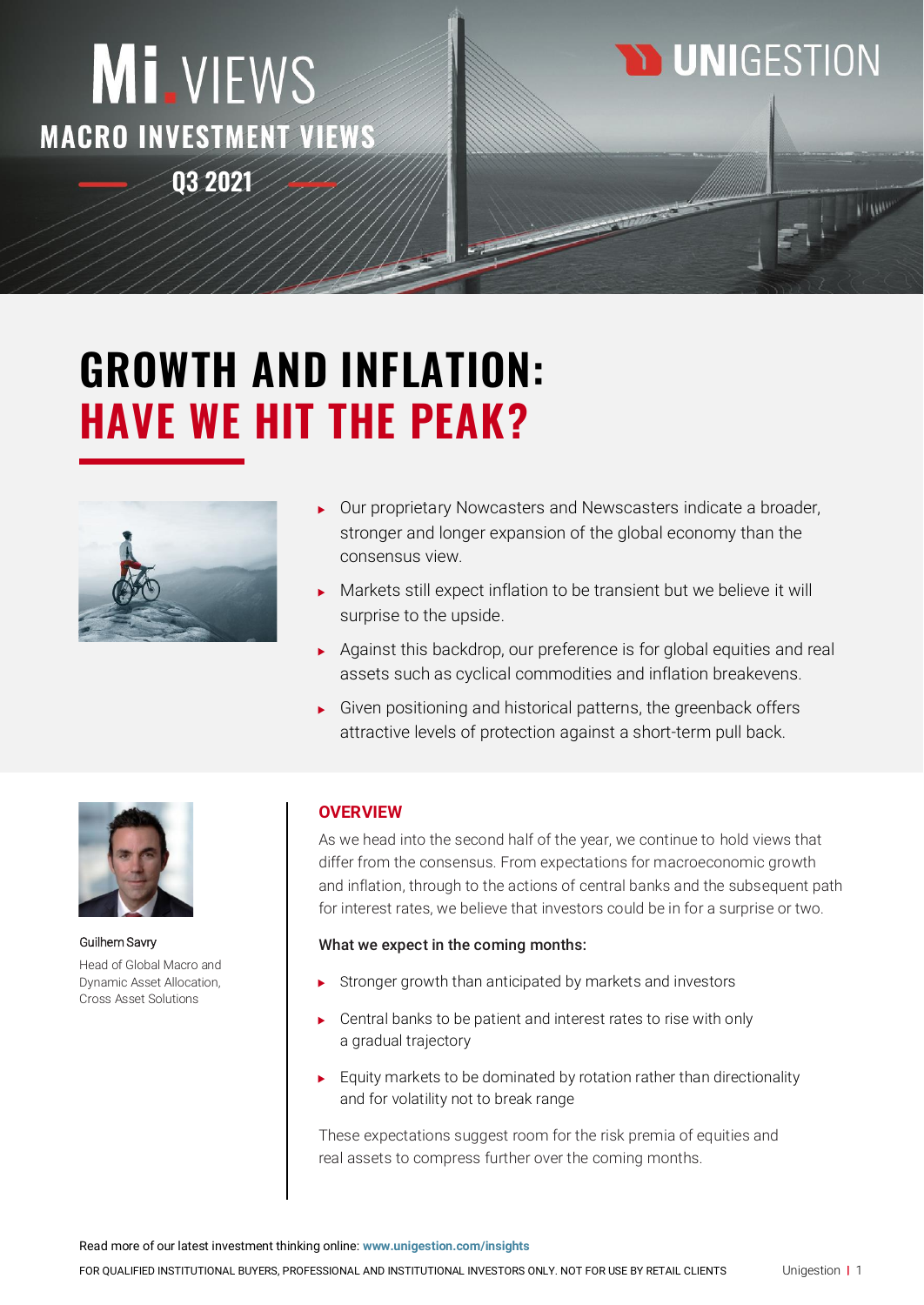## MI.VIEWS **MACRO INVESTMENT VIEWS Q3 2021**

## **D UNIGESTION**

# **GROWTH AND INFLATION: HAVE WE HIT THE PEAK?**



- Our proprietary Nowcasters and Newscasters indicate a broader, stronger and longer expansion of the global economy than the consensus view.
- Markets still expect inflation to be transient but we believe it will surprise to the upside.
- Against this backdrop, our preference is for global equities and real assets such as cyclical commodities and inflation breakevens.
- Given positioning and historical patterns, the greenback offers attractive levels of protection against a short-term pull back.



Guilhem Savry Head of Global Macro and Dynamic Asset Allocation, Cross Asset Solutions

## **OVERVIEW**

As we head into the second half of the year, we continue to hold views that differ from the consensus. From expectations for macroeconomic growth and inflation, through to the actions of central banks and the subsequent path for interest rates, we believe that investors could be in for a surprise or two.

## What we expect in the coming months:

- Stronger growth than anticipated by markets and investors
- Central banks to be patient and interest rates to rise with only a gradual trajectory
- $\blacktriangleright$  Equity markets to be dominated by rotation rather than directionality and for volatility not to break range

These expectations suggest room for the risk premia of equities and real assets to compress further over the coming months.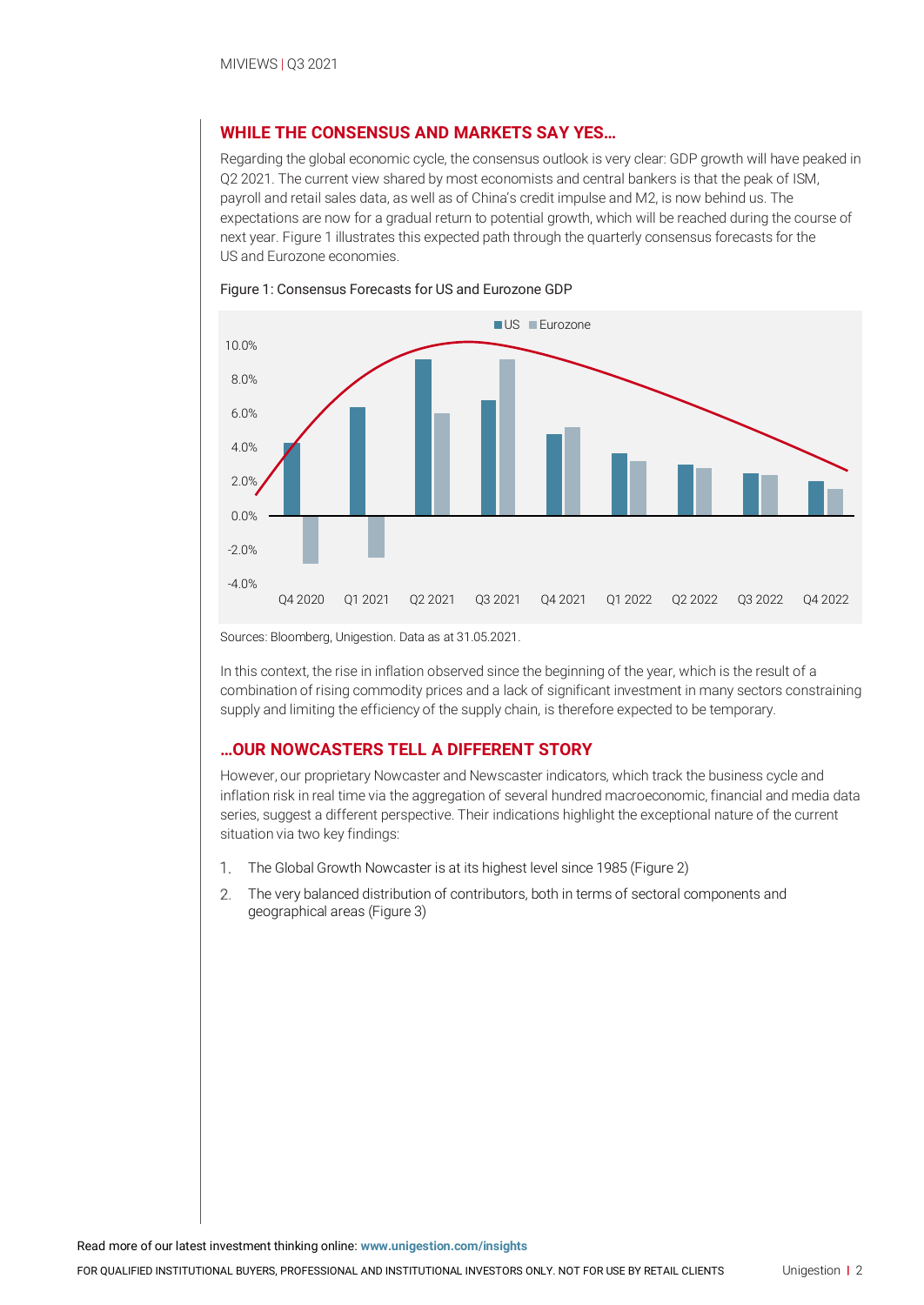## **WHILE THE CONSENSUS AND MARKETS SAY YES…**

Regarding the global economic cycle, the consensus outlook is very clear: GDP growth will have peaked in Q2 2021. The current view shared by most economists and central bankers is that the peak of ISM, payroll and retail sales data, as well as of China's credit impulse and M2, is now behind us. The expectations are now for a gradual return to potential growth, which will be reached during the course of next year. Figure 1 illustrates this expected path through the quarterly consensus forecasts for the US and Eurozone economies.



#### Figure 1: Consensus Forecasts for US and Eurozone GDP

Sources: Bloomberg, Unigestion. Data as at 31.05.2021.

In this context, the rise in inflation observed since the beginning of the year, which is the result of a combination of rising commodity prices and a lack of significant investment in many sectors constraining supply and limiting the efficiency of the supply chain, is therefore expected to be temporary.

#### **…OUR NOWCASTERS TELL A DIFFERENT STORY**

However, our proprietary Nowcaster and Newscaster indicators, which track the business cycle and inflation risk in real time via the aggregation of several hundred macroeconomic, financial and media data series, suggest a different perspective. Their indications highlight the exceptional nature of the current situation via two key findings:

- The Global Growth Nowcaster is at its highest level since 1985 (Figure 2) 1.
- $2^{1}$ The very balanced distribution of contributors, both in terms of sectoral components and geographical areas (Figure 3)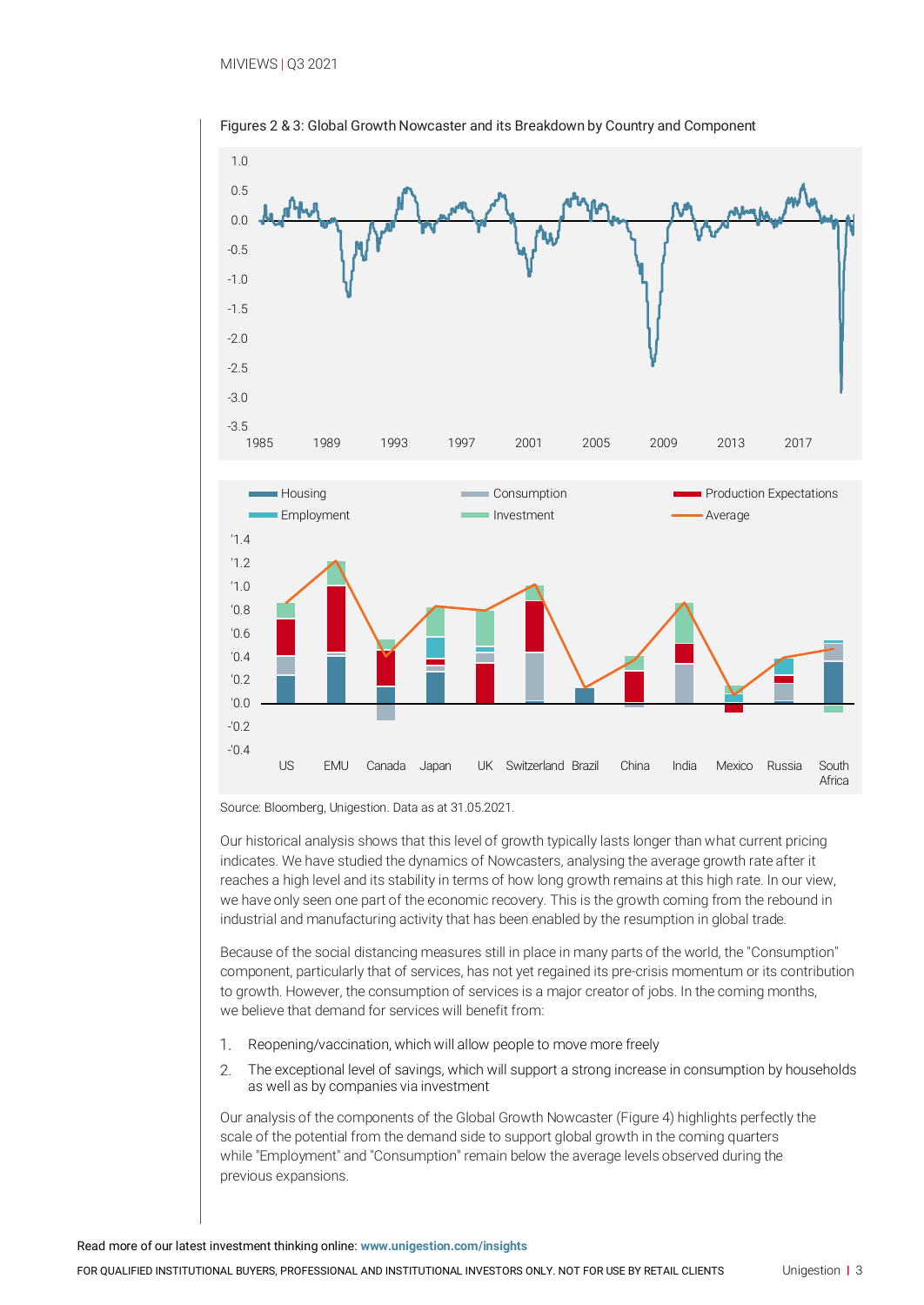

Figures 2 & 3: Global Growth Nowcaster and its Breakdown by Country and Component

Source: Bloomberg, Unigestion. Data as at 31.05.2021.

Our historical analysis shows that this level of growth typically lasts longer than what current pricing indicates. We have studied the dynamics of Nowcasters, analysing the average growth rate after it reaches a high level and its stability in terms of how long growth remains at this high rate. In our view, we have only seen one part of the economic recovery. This is the growth coming from the rebound in industrial and manufacturing activity that has been enabled by the resumption in global trade.

Because of the social distancing measures still in place in many parts of the world, the "Consumption" component, particularly that of services, has not yet regained its pre-crisis momentum or its contribution to growth. However, the consumption of services is a major creator of jobs. In the coming months, we believe that demand for services will benefit from:

- Reopening/vaccination, which will allow people to move more freely 1.
- $2.$ The exceptional level of savings, which will support a strong increase in consumption by households as well as by companies via investment

Our analysis of the components of the Global Growth Nowcaster (Figure 4) highlights perfectly the scale of the potential from the demand side to support global growth in the coming quarters while "Employment" and "Consumption" remain below the average levels observed during the previous expansions.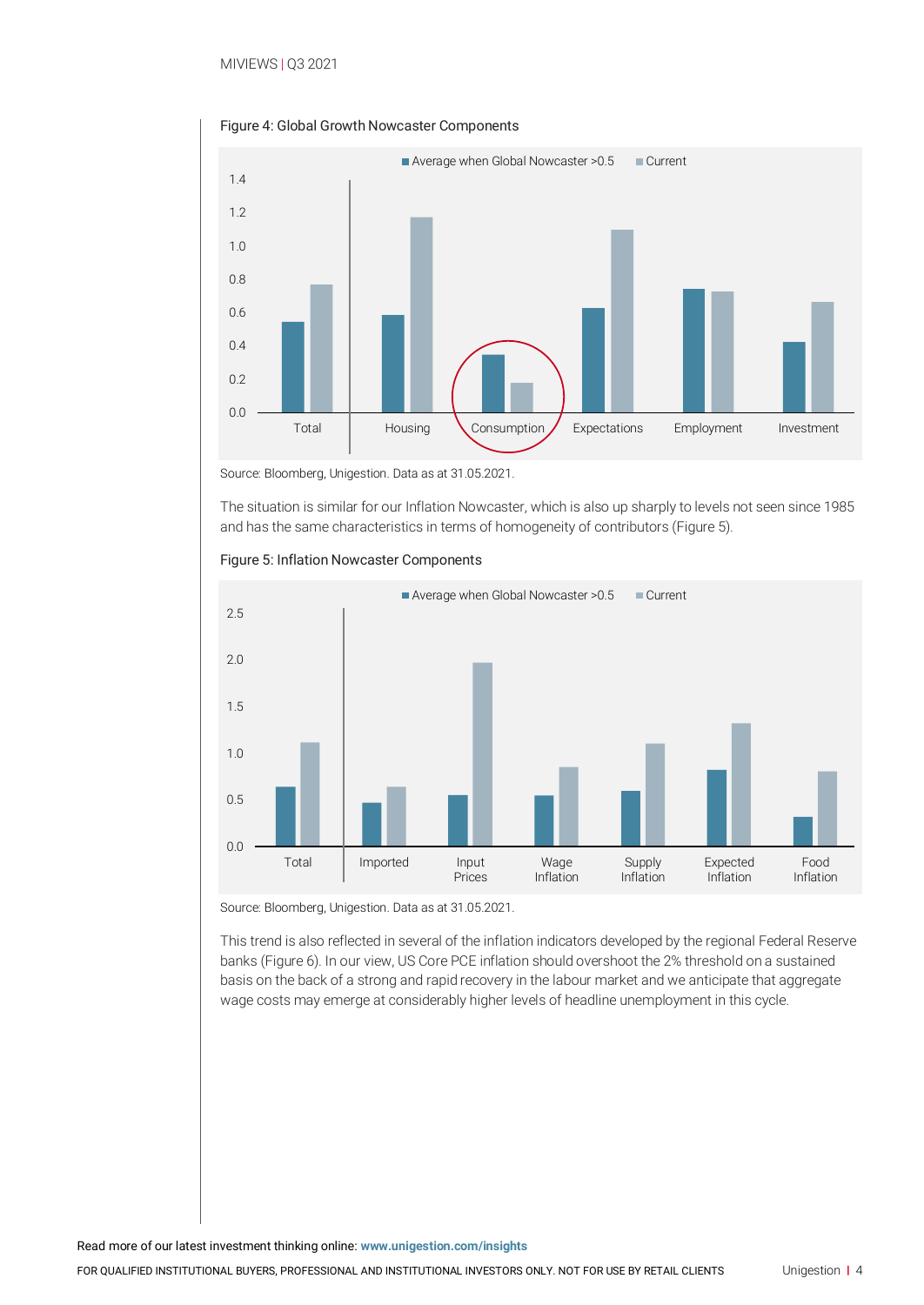

Figure 4: Global Growth Nowcaster Components

Source: Bloomberg, Unigestion. Data as at 31.05.2021.

The situation is similar for our Inflation Nowcaster, which is also up sharply to levels not seen since 1985 and has the same characteristics in terms of homogeneity of contributors (Figure 5).



Figure 5: Inflation Nowcaster Components

Source: Bloomberg, Unigestion. Data as at 31.05.2021.

This trend is also reflected in several of the inflation indicators developed by the regional Federal Reserve banks (Figure 6). In our view, US Core PCE inflation should overshoot the 2% threshold on a sustained basis on the back of a strong and rapid recovery in the labour market and we anticipate that aggregate wage costs may emerge at considerably higher levels of headline unemployment in this cycle.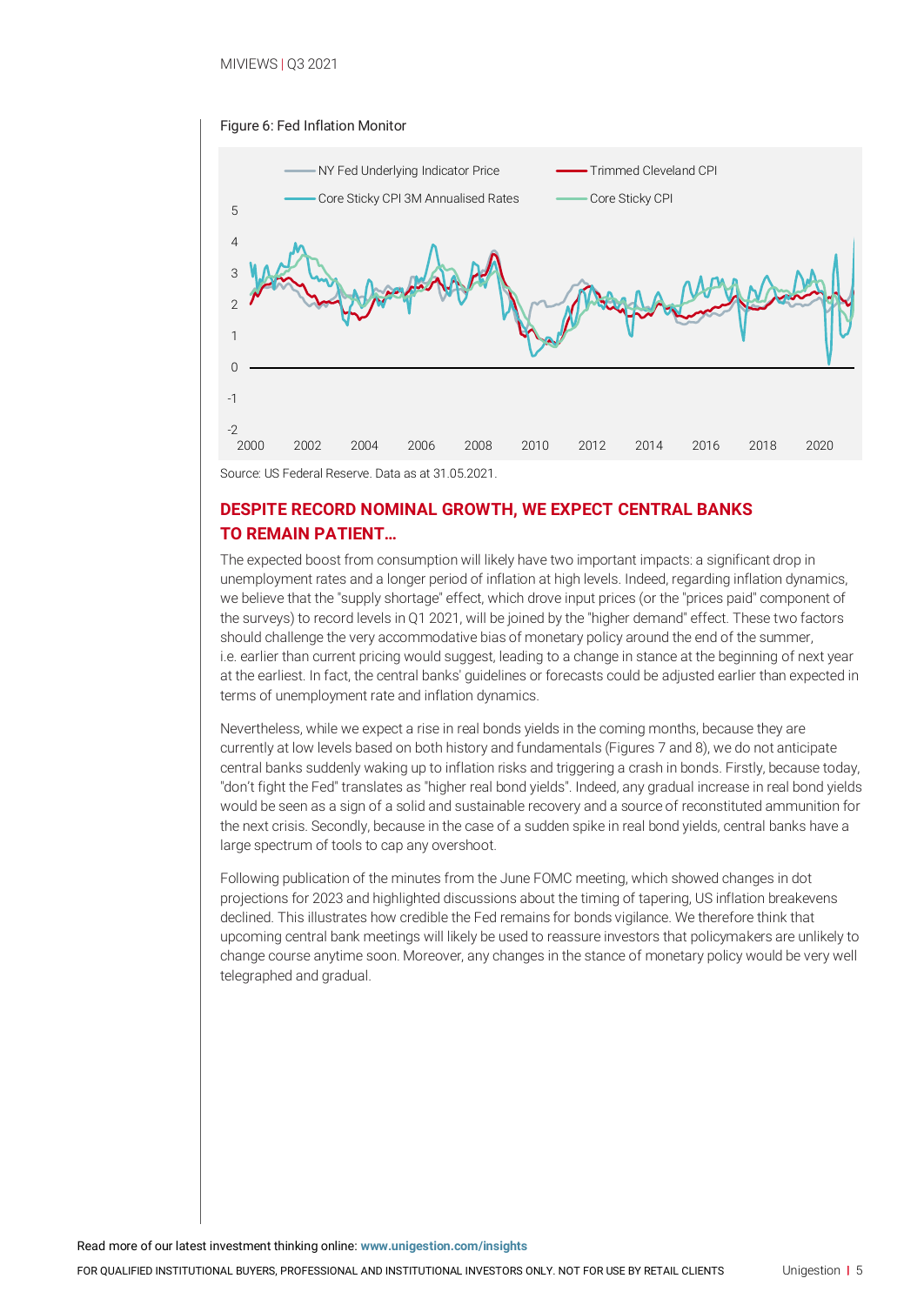



## **DESPITE RECORD NOMINAL GROWTH, WE EXPECT CENTRAL BANKS TO REMAIN PATIENT…**

The expected boost from consumption will likely have two important impacts: a significant drop in unemployment rates and a longer period of inflation at high levels. Indeed, regarding inflation dynamics, we believe that the "supply shortage" effect, which drove input prices (or the "prices paid" component of the surveys) to record levels in Q1 2021, will be joined by the "higher demand" effect. These two factors should challenge the very accommodative bias of monetary policy around the end of the summer, i.e. earlier than current pricing would suggest, leading to a change in stance at the beginning of next year at the earliest. In fact, the central banks' guidelines or forecasts could be adjusted earlier than expected in terms of unemployment rate and inflation dynamics.

Nevertheless, while we expect a rise in real bonds yields in the coming months, because they are currently at low levels based on both history and fundamentals (Figures 7 and 8), we do not anticipate central banks suddenly waking up to inflation risks and triggering a crash in bonds. Firstly, because today, "don't fight the Fed" translates as "higher real bond yields". Indeed, any gradual increase in real bond yields would be seen as a sign of a solid and sustainable recovery and a source of reconstituted ammunition for the next crisis. Secondly, because in the case of a sudden spike in real bond yields, central banks have a large spectrum of tools to cap any overshoot.

Following publication of the minutes from the June FOMC meeting, which showed changes in dot projections for 2023 and highlighted discussions about the timing of tapering, US inflation breakevens declined. This illustrates how credible the Fed remains for bonds vigilance. We therefore think that upcoming central bank meetings will likely be used to reassure investors that policymakers are unlikely to change course anytime soon. Moreover, any changes in the stance of monetary policy would be very well telegraphed and gradual.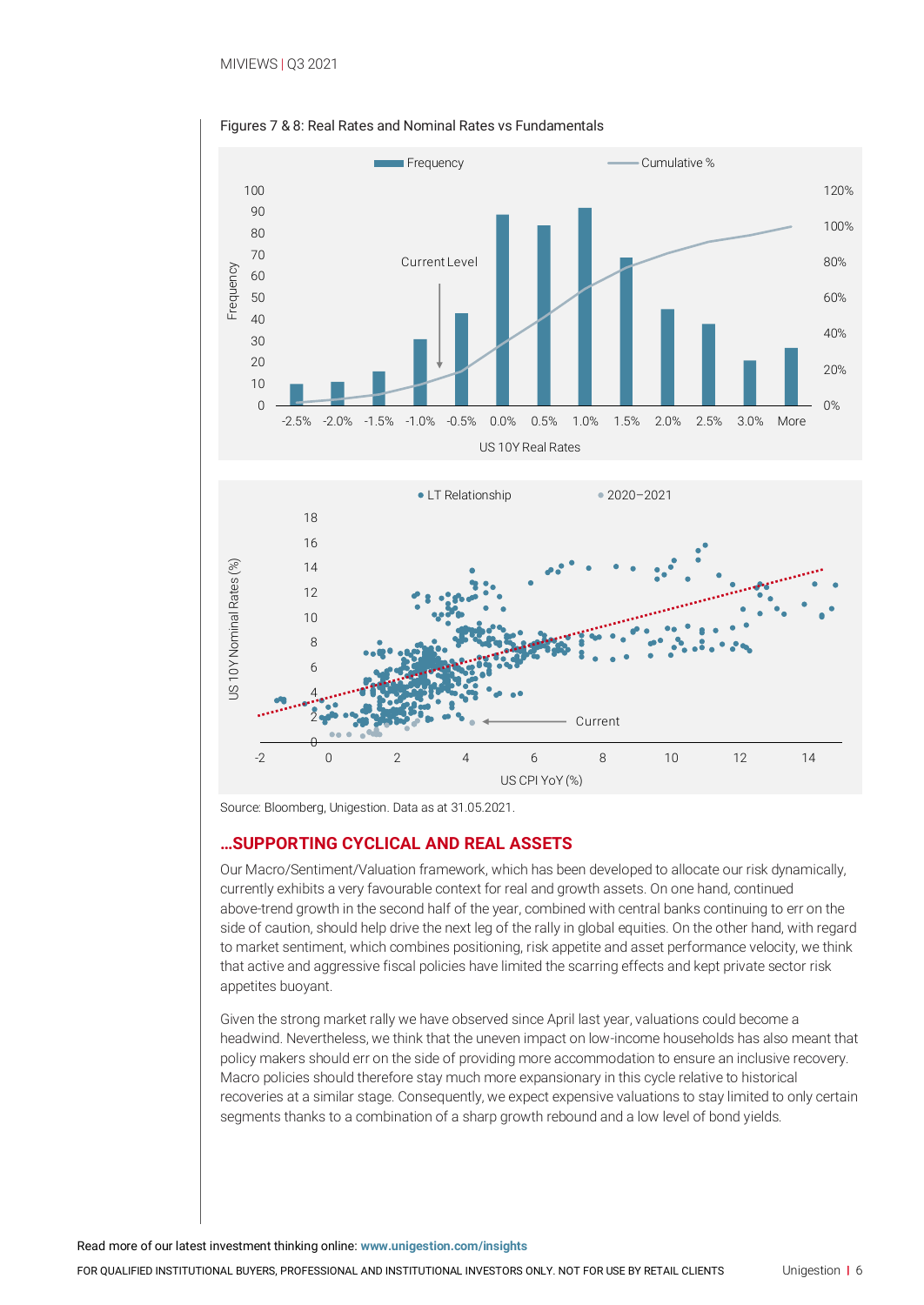

Figures 7 & 8: Real Rates and Nominal Rates vs Fundamentals

Source: Bloomberg, Unigestion. Data as at 31.05.2021.

#### **…SUPPORTING CYCLICAL AND REAL ASSETS**

Our Macro/Sentiment/Valuation framework, which has been developed to allocate our risk dynamically, currently exhibits a very favourable context for real and growth assets. On one hand, continued above-trend growth in the second half of the year, combined with central banks continuing to err on the side of caution, should help drive the next leg of the rally in global equities. On the other hand, with regard to market sentiment, which combines positioning, risk appetite and asset performance velocity, we think that active and aggressive fiscal policies have limited the scarring effects and kept private sector risk appetites buoyant.

Given the strong market rally we have observed since April last year, valuations could become a headwind. Nevertheless, we think that the uneven impact on low-income households has also meant that policy makers should err on the side of providing more accommodation to ensure an inclusive recovery. Macro policies should therefore stay much more expansionary in this cycle relative to historical recoveries at a similar stage. Consequently, we expect expensive valuations to stay limited to only certain segments thanks to a combination of a sharp growth rebound and a low level of bond yields.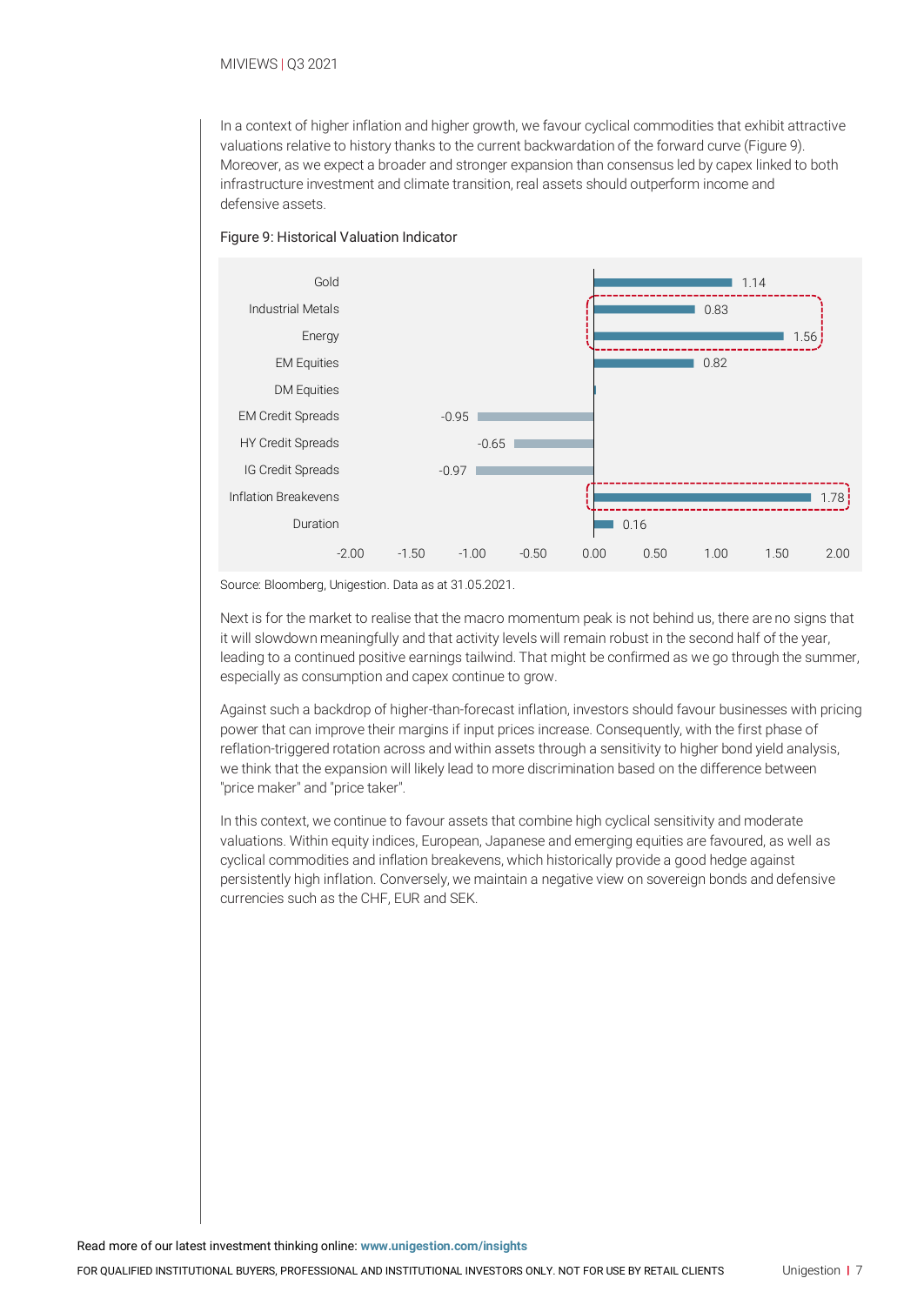#### MIVIEWS | Q3 2021

In a context of higher inflation and higher growth, we favour cyclical commodities that exhibit attractive valuations relative to history thanks to the current backwardation of the forward curve (Figure 9). Moreover, as we expect a broader and stronger expansion than consensus led by capex linked to both infrastructure investment and climate transition, real assets should outperform income and defensive assets.

#### Figure 9: Historical Valuation Indicator



Source: Bloomberg, Unigestion. Data as at 31.05.2021.

Next is for the market to realise that the macro momentum peak is not behind us, there are no signs that it will slowdown meaningfully and that activity levels will remain robust in the second half of the year, leading to a continued positive earnings tailwind. That might be confirmed as we go through the summer, especially as consumption and capex continue to grow.

Against such a backdrop of higher-than-forecast inflation, investors should favour businesses with pricing power that can improve their margins if input prices increase. Consequently, with the first phase of reflation-triggered rotation across and within assets through a sensitivity to higher bond yield analysis, we think that the expansion will likely lead to more discrimination based on the difference between "price maker" and "price taker".

In this context, we continue to favour assets that combine high cyclical sensitivity and moderate valuations. Within equity indices, European, Japanese and emerging equities are favoured, as well as cyclical commodities and inflation breakevens, which historically provide a good hedge against persistently high inflation. Conversely, we maintain a negative view on sovereign bonds and defensive currencies such as the CHF, EUR and SEK.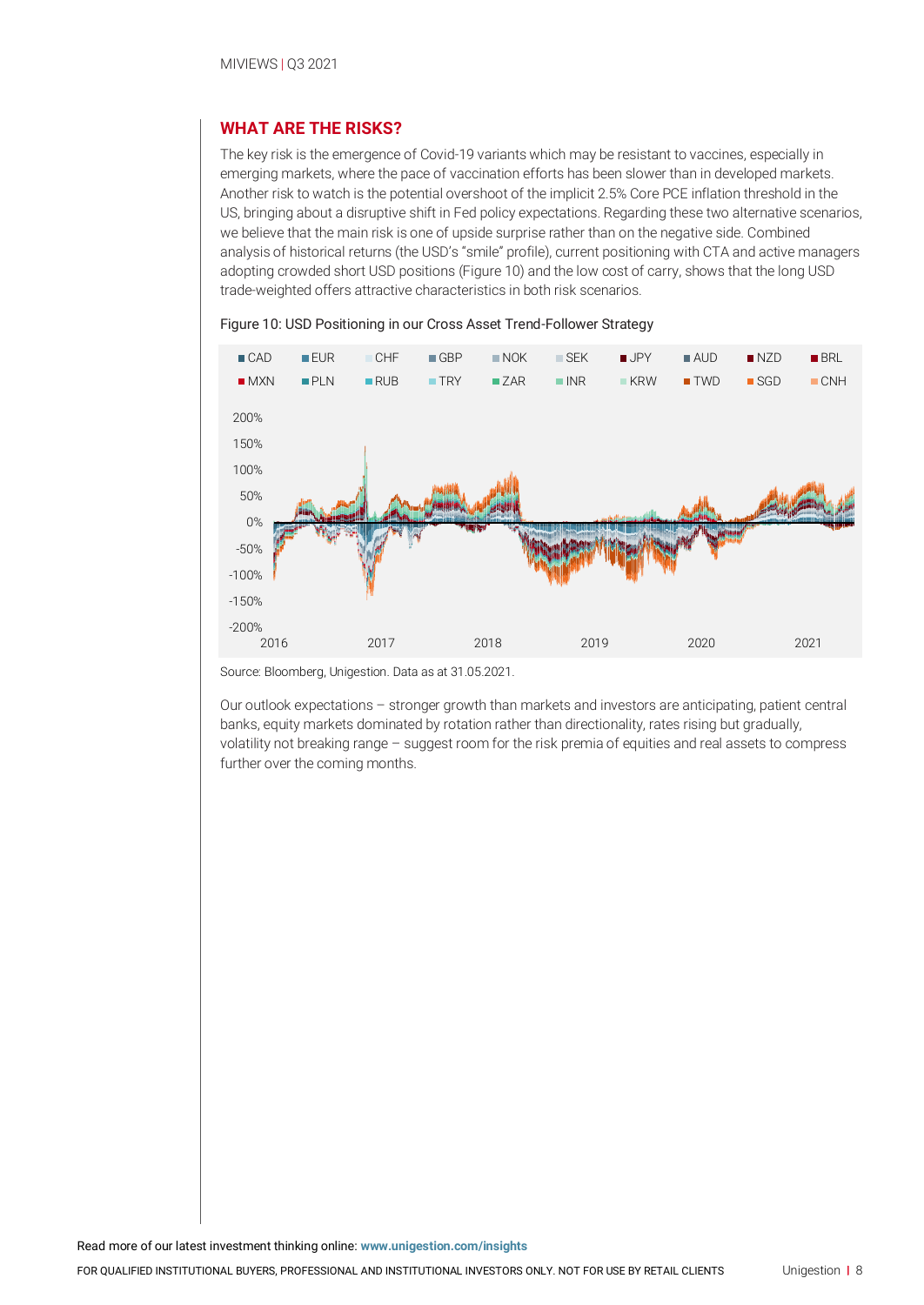### **WHAT ARE THE RISKS?**

The key risk is the emergence of Covid-19 variants which may be resistant to vaccines, especially in emerging markets, where the pace of vaccination efforts has been slower than in developed markets. Another risk to watch is the potential overshoot of the implicit 2.5% Core PCE inflation threshold in the US, bringing about a disruptive shift in Fed policy expectations. Regarding these two alternative scenarios, we believe that the main risk is one of upside surprise rather than on the negative side. Combined analysis of historical returns (the USD's "smile" profile), current positioning with CTA and active managers adopting crowded short USD positions (Figure 10) and the low cost of carry, shows that the long USD trade-weighted offers attractive characteristics in both risk scenarios.





Source: Bloomberg, Unigestion. Data as at 31.05.2021.

Our outlook expectations – stronger growth than markets and investors are anticipating, patient central banks, equity markets dominated by rotation rather than directionality, rates rising but gradually, volatility not breaking range – suggest room for the risk premia of equities and real assets to compress further over the coming months.